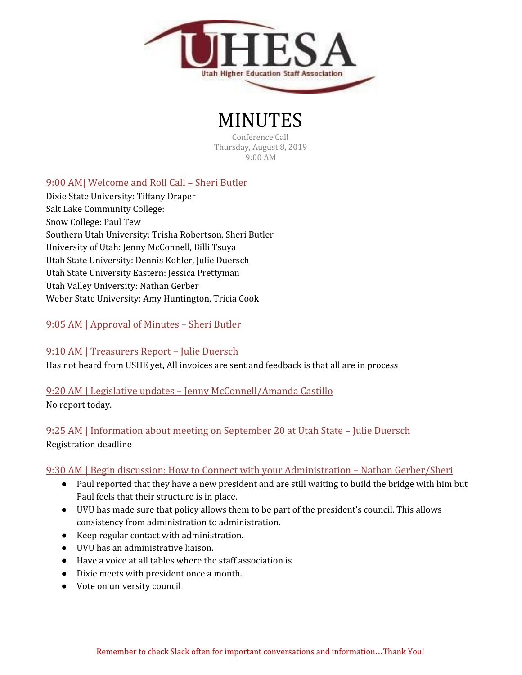

# MINUTES

Conference Call Thursday, August 8, 2019 9:00 AM

## 9:00 AM| Welcome and Roll Call – Sheri Butler

Dixie State University: Tiffany Draper Salt Lake Community College: Snow College: Paul Tew Southern Utah University: Trisha Robertson, Sheri Butler University of Utah: Jenny McConnell, Billi Tsuya Utah State University: Dennis Kohler, Julie Duersch Utah State University Eastern: Jessica Prettyman Utah Valley University: Nathan Gerber Weber State University: Amy Huntington, Tricia Cook

### 9:05 AM | Approval of Minutes – Sheri Butler

#### 9:10 AM | Treasurers Report – Julie Duersch

Has not heard from USHE yet, All invoices are sent and feedback is that all are in process

## 9:20 AM | Legislative updates – Jenny McConnell/Amanda Castillo

No report today.

## 9:25 AM | Information about meeting on September 20 at Utah State – Julie Duersch Registration deadline

#### 9:30 AM | Begin discussion: How to Connect with your Administration – Nathan Gerber/Sheri

- Paul reported that they have a new president and are still waiting to build the bridge with him but Paul feels that their structure is in place.
- UVU has made sure that policy allows them to be part of the president's council. This allows consistency from administration to administration.
- Keep regular contact with administration.
- UVU has an administrative liaison.
- Have a voice at all tables where the staff association is
- Dixie meets with president once a month.
- Vote on university council